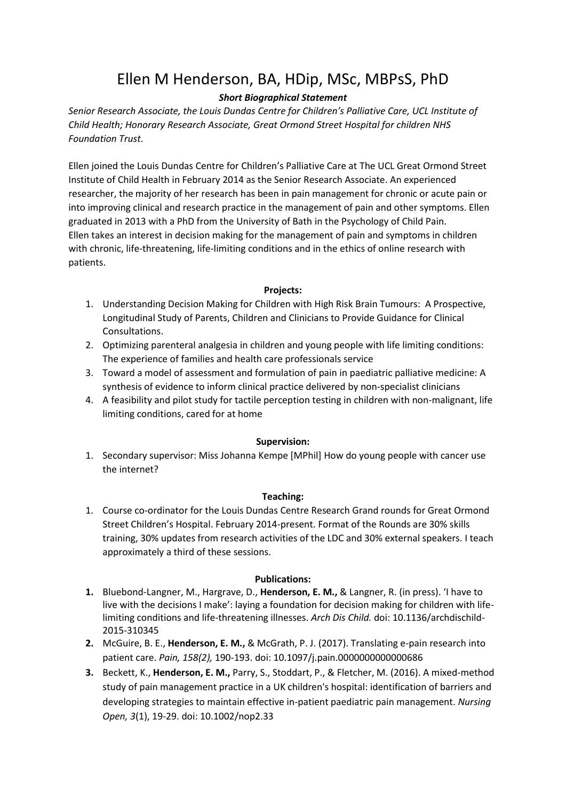# Ellen M Henderson, BA, HDip, MSc, MBPsS, PhD

## *Short Biographical Statement*

*Senior Research Associate, the Louis Dundas Centre for Children's Palliative Care, UCL Institute of Child Health; Honorary Research Associate, Great Ormond Street Hospital for children NHS Foundation Trust.*

Ellen joined the Louis Dundas Centre for Children's Palliative Care at The UCL Great Ormond Street Institute of Child Health in February 2014 as the Senior Research Associate. An experienced researcher, the majority of her research has been in pain management for chronic or acute pain or into improving clinical and research practice in the management of pain and other symptoms. Ellen graduated in 2013 with a PhD from the University of Bath in the Psychology of Child Pain. Ellen takes an interest in decision making for the management of pain and symptoms in children with chronic, life-threatening, life-limiting conditions and in the ethics of online research with patients.

#### **Projects:**

- 1. Understanding Decision Making for Children with High Risk Brain Tumours: A Prospective, Longitudinal Study of Parents, Children and Clinicians to Provide Guidance for Clinical Consultations.
- 2. Optimizing parenteral analgesia in children and young people with life limiting conditions: The experience of families and health care professionals service
- 3. Toward a model of assessment and formulation of pain in paediatric palliative medicine: A synthesis of evidence to inform clinical practice delivered by non-specialist clinicians
- 4. A feasibility and pilot study for tactile perception testing in children with non-malignant, life limiting conditions, cared for at home

#### **Supervision:**

1. Secondary supervisor: Miss Johanna Kempe [MPhil] How do young people with cancer use the internet?

#### **Teaching:**

1. Course co-ordinator for the Louis Dundas Centre Research Grand rounds for Great Ormond Street Children's Hospital. February 2014-present. Format of the Rounds are 30% skills training, 30% updates from research activities of the LDC and 30% external speakers. I teach approximately a third of these sessions.

#### **Publications:**

- **1.** Bluebond-Langner, M., Hargrave, D., **Henderson, E. M.,** & Langner, R. (in press). 'I have to live with the decisions I make': laying a foundation for decision making for children with lifelimiting conditions and life-threatening illnesses. *Arch Dis Child.* doi: 10.1136/archdischild-2015-310345
- **2.** McGuire, B. E., **Henderson, E. M.,** & McGrath, P. J. (2017). Translating e-pain research into patient care. *Pain, 158(2),* 190-193. doi: 10.1097/j.pain.0000000000000686
- **3.** Beckett, K., **Henderson, E. M.,** Parry, S., Stoddart, P., & Fletcher, M. (2016). A mixed-method study of pain management practice in a UK children's hospital: identification of barriers and developing strategies to maintain effective in-patient paediatric pain management. *Nursing Open, 3*(1), 19-29. doi: 10.1002/nop2.33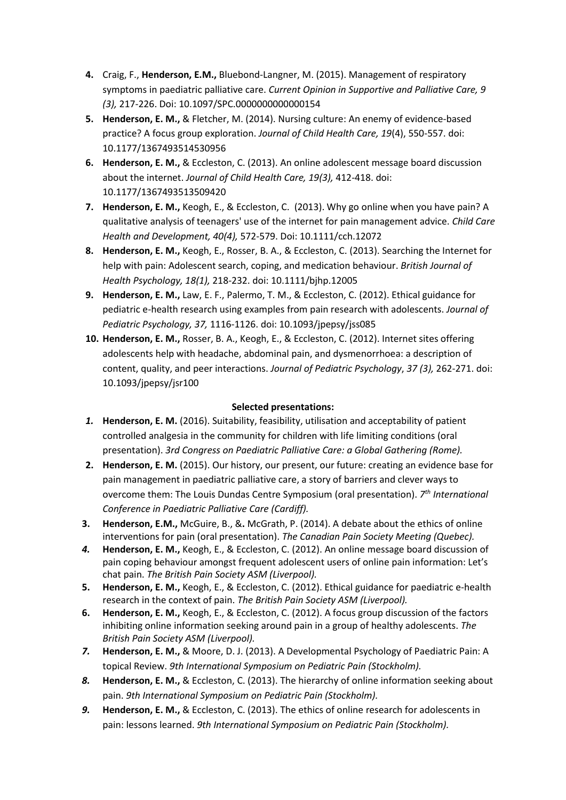- **4.** Craig, F., **Henderson, E.M.,** Bluebond-Langner, M. (2015). Management of respiratory symptoms in paediatric palliative care. *Current Opinion in Supportive and Palliative Care, 9 (3),* 217-226. Doi: 10.1097/SPC.0000000000000154
- **5. Henderson, E. M.,** & Fletcher, M. (2014). Nursing culture: An enemy of evidence-based practice? A focus group exploration. *Journal of Child Health Care, 19*(4), 550-557. doi: 10.1177/1367493514530956
- **6. Henderson, E. M.,** & Eccleston, C. (2013). An online adolescent message board discussion about the internet. *Journal of Child Health Care, 19(3),* 412-418. doi: 10.1177/1367493513509420
- **7. Henderson, E. M.,** Keogh, E., & Eccleston, C. (2013). Why go online when you have pain? A qualitative analysis of teenagers' use of the internet for pain management advice. *Child Care Health and Development, 40(4),* 572-579. Doi: 10.1111/cch.12072
- **8. Henderson, E. M.,** Keogh, E., Rosser, B. A., & Eccleston, C. (2013). Searching the Internet for help with pain: Adolescent search, coping, and medication behaviour. *British Journal of Health Psychology, 18(1),* 218-232. doi: 10.1111/bjhp.12005
- **9. Henderson, E. M.,** Law, E. F., Palermo, T. M., & Eccleston, C. (2012). Ethical guidance for pediatric e-health research using examples from pain research with adolescents. *Journal of Pediatric Psychology, 37,* 1116-1126. doi: 10.1093/jpepsy/jss085
- **10. Henderson, E. M.,** Rosser, B. A., Keogh, E., & Eccleston, C. (2012). Internet sites offering adolescents help with headache, abdominal pain, and dysmenorrhoea: a description of content, quality, and peer interactions. *Journal of Pediatric Psychology*, *37 (3),* 262-271. doi: 10.1093/jpepsy/jsr100

### **Selected presentations:**

- *1.* **Henderson, E. M.** (2016). Suitability, feasibility, utilisation and acceptability of patient controlled analgesia in the community for children with life limiting conditions (oral presentation). *3rd Congress on Paediatric Palliative Care: a Global Gathering (Rome).*
- **2. Henderson, E. M.** (2015). Our history, our present, our future: creating an evidence base for pain management in paediatric palliative care, a story of barriers and clever ways to overcome them: The Louis Dundas Centre Symposium (oral presentation). *7 th International Conference in Paediatric Palliative Care (Cardiff).*
- **3. Henderson, E.M.,** McGuire, B., &**.** McGrath, P. (2014). A debate about the ethics of online interventions for pain (oral presentation). *The Canadian Pain Society Meeting (Quebec).*
- *4.* **Henderson, E. M.,** Keogh, E., & Eccleston, C. (2012). An online message board discussion of pain coping behaviour amongst frequent adolescent users of online pain information: Let's chat pain. *The British Pain Society ASM (Liverpool).*
- **5. Henderson, E. M.,** Keogh, E., & Eccleston, C. (2012). Ethical guidance for paediatric e-health research in the context of pain. *The British Pain Society ASM (Liverpool).*
- **6. Henderson, E. M.,** Keogh, E., & Eccleston, C. (2012). A focus group discussion of the factors inhibiting online information seeking around pain in a group of healthy adolescents. *The British Pain Society ASM (Liverpool).*
- *7.* **Henderson, E. M.,** & Moore, D. J. (2013). A Developmental Psychology of Paediatric Pain: A topical Review. *9th International Symposium on Pediatric Pain (Stockholm).*
- *8.* **Henderson, E. M.,** & Eccleston, C. (2013). The hierarchy of online information seeking about pain. *9th International Symposium on Pediatric Pain (Stockholm).*
- *9.* **Henderson, E. M.,** & Eccleston, C. (2013). The ethics of online research for adolescents in pain: lessons learned. *9th International Symposium on Pediatric Pain (Stockholm).*